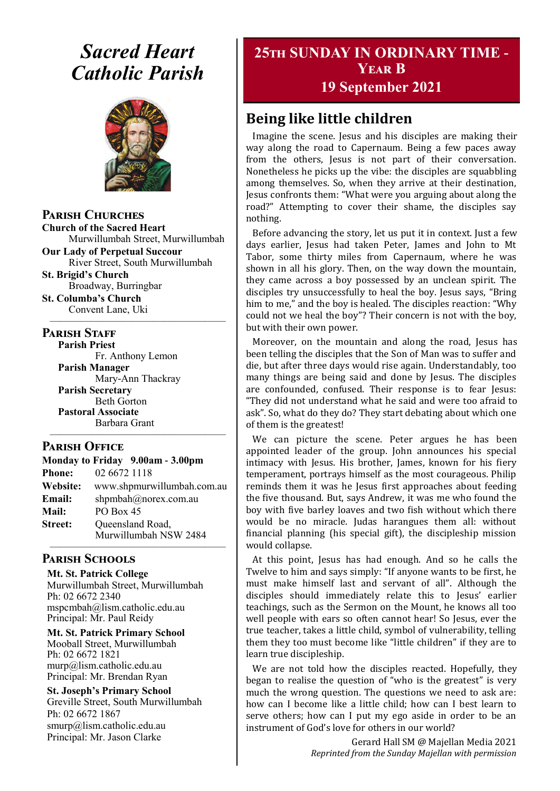# *Sacred Heart Catholic Parish*



**Parish Churches**

**Church of the Sacred Heart** Murwillumbah Street, Murwillumbah

**Our Lady of Perpetual Succour** River Street, South Murwillumbah

**St. Brigid's Church** Broadway, Burringbar

**St. Columba's Church** Convent Lane, Uki —————————————————

#### **PARISH STAFF**

**Parish Priest**

Fr. Anthony Lemon **Parish Manager** Mary-Ann Thackray **Parish Secretary** Beth Gorton **Pastoral Associate** Barbara Grant

#### **Parish Office**

| Monday to Friday 9.00am - 3.00pm |                            |
|----------------------------------|----------------------------|
| <b>Phone:</b>                    | 02 6672 1118               |
| <b>Website:</b>                  | www.shpmurwillumbah.com.au |
| Email:                           | shpmbah@norex.com.au       |
| <b>Mail:</b>                     | PO Box 45                  |
| <b>Street:</b>                   | Queensland Road,           |
|                                  | Murwillumbah NSW 2484      |

—————————————————

#### ————————————————— **Parish Schools**

**Mt. St. Patrick College** Murwillumbah Street, Murwillumbah Ph: 02 6672 2340 mspcmbah@lism.catholic.edu.au Principal: Mr. Paul Reidy

**Mt. St. Patrick Primary School** Mooball Street, Murwillumbah Ph: 02 6672 1821 murp@lism.catholic.edu.au Principal: Mr. Brendan Ryan

**St. Joseph's Primary School** Greville Street, South Murwillumbah Ph: 02 6672 1867 smurp@lism.catholic.edu.au Principal: Mr. Jason Clarke

# **25th SUNDAY IN ORDINARY TIME - Year B**

**19 September 2021**

# **Being like little children**

Imagine the scene. Jesus and his disciples are making their way along the road to Capernaum. Being a few paces away from the others, Jesus is not part of their conversation. Nonetheless he picks up the vibe: the disciples are squabbling among themselves. So, when they arrive at their destination, Jesus confronts them: "What were you arguing about along the road?" Attempting to cover their shame, the disciples say nothing.

Before advancing the story, let us put it in context. Just a few days earlier, Jesus had taken Peter, James and John to Mt Tabor, some thirty miles from Capernaum, where he was shown in all his glory. Then, on the way down the mountain, they came across a boy possessed by an unclean spirit. The disciples try unsuccessfully to heal the boy. Jesus says, "Bring him to me," and the boy is healed. The disciples reaction: "Why could not we heal the boy"? Their concern is not with the boy, but with their own power.

Moreover, on the mountain and along the road, Jesus has been telling the disciples that the Son of Man was to suffer and die, but after three days would rise again. Understandably, too many things are being said and done by Jesus. The disciples are confounded, confused. Their response is to fear Jesus: "They did not understand what he said and were too afraid to ask". So, what do they do? They start debating about which one of them is the greatest!

We can picture the scene. Peter argues he has been appointed leader of the group. John announces his special intimacy with Jesus. His brother, James, known for his fiery temperament, portrays himself as the most courageous. Philip reminds them it was he Jesus first approaches about feeding the five thousand. But, says Andrew, it was me who found the boy with five barley loaves and two fish without which there would be no miracle. Judas harangues them all: without financial planning (his special gift), the discipleship mission would collapse.

At this point, Jesus has had enough. And so he calls the Twelve to him and says simply: "If anyone wants to be first, he must make himself last and servant of all". Although the disciples should immediately relate this to Jesus' earlier teachings, such as the Sermon on the Mount, he knows all too well people with ears so often cannot hear! So Jesus, ever the true teacher, takes a little child, symbol of vulnerability, telling them they too must become like "little children" if they are to learn true discipleship.

We are not told how the disciples reacted. Hopefully, they began to realise the question of "who is the greatest" is very much the wrong question. The questions we need to ask are: how can I become like a little child; how can I best learn to serve others; how can I put my ego aside in order to be an instrument of God's love for others in our world?

> Gerard Hall SM @ Majellan Media 2021 *Reprinted from the Sunday Majellan with permission*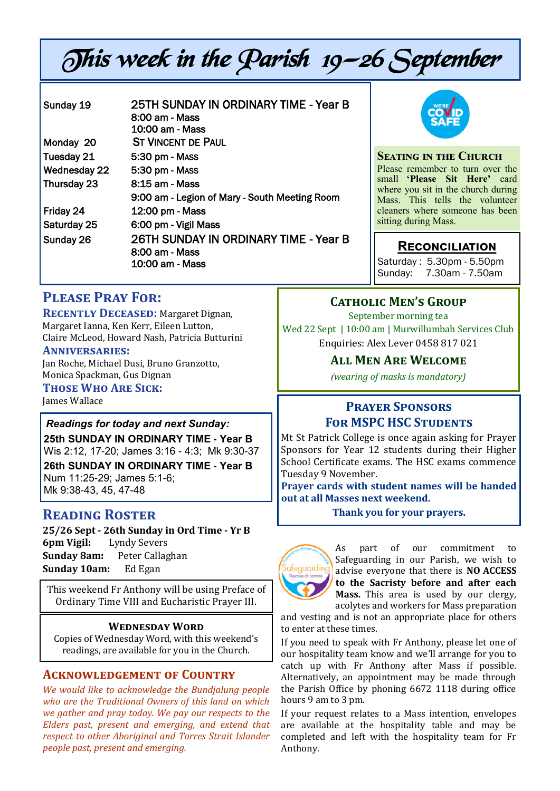# This week in the Parish 19—26 September

| Sunday 19           | 25TH SUNDAY IN ORDINARY TIME - Year B<br>8:00 am - Mass<br>10:00 am - Mass |
|---------------------|----------------------------------------------------------------------------|
| Monday 20           | <b>ST VINCENT DE PAUL</b>                                                  |
| Tuesday 21          | 5:30 pm - Mass                                                             |
| <b>Wednesday 22</b> | 5:30 pm - MASS                                                             |
| Thursday 23         | 8:15 am - Mass                                                             |
|                     | 9:00 am - Legion of Mary - South Meeting Room                              |
| Friday 24           | 12:00 pm - Mass                                                            |
| Saturday 25         | 6:00 pm - Vigil Mass                                                       |
| Sunday 26           | 26TH SUNDAY IN ORDINARY TIME - Year B<br>8:00 am - Mass<br>10:00 am - Mass |



#### **Seating in the Church**

Please remember to turn over the small **'Please Sit Here'** card where you sit in the church during Mass. This tells the volunteer cleaners where someone has been sitting during Mass.

#### **Reconciliation**

Saturday : 5.30pm - 5.50pm Sunday: 7.30am - 7.50am

# **Please Pray For:**

**RECENTLY DECEASED:** Margaret Dignan, Margaret Ianna, Ken Kerr, Eileen Lutton, Claire McLeod, Howard Nash, Patricia Butturini

#### **Anniversaries:**

Jan Roche, Michael Dusi, Bruno Granzotto, Monica Spackman, Gus Dignan

#### **Those Who Are Sick:**

James Wallace

*Readings for today and next Sunday:*  **25th SUNDAY IN ORDINARY TIME - Year B**  Wis 2:12, 17-20; James 3:16 - 4:3; Mk 9:30-37 **26th SUNDAY IN ORDINARY TIME - Year B**  Num 11:25-29; James 5:1-6; Mk 9:38-43, 45, 47-48

# **Reading Roster**

**25/26 Sept - 26th Sunday in Ord Time - Yr B 6pm Vigil:** Lyndy Severs **Sunday 8am:** Peter Callaghan **Sunday 10am:** Ed Egan

This weekend Fr Anthony will be using Preface of Ordinary Time VIII and Eucharistic Prayer III.

#### **Wednesday Word**

Copies of Wednesday Word, with this weekend's readings, are available for you in the Church.

#### **Acknowledgement of Country**

*We would like to acknowledge the Bundjalung people who are the Traditional Owners of this land on which we gather and pray today. We pay our respects to the Elders past, present and emerging, and extend that respect to other Aboriginal and Torres Strait Islander people past, present and emerging.* 

#### **Catholic Men's Group**

September morning tea Wed 22 Sept | 10:00 am | Murwillumbah Services Club Enquiries: Alex Lever 0458 817 021

#### **All Men Are Welcome**

*(wearing of masks is mandatory)*

## **Prayer Sponsors FOR MSPC HSC STUDENTS**

Mt St Patrick College is once again asking for Prayer Sponsors for Year 12 students during their Higher School Certificate exams. The HSC exams commence Tuesday 9 November.

**Prayer cards with student names will be handed out at all Masses next weekend.** 

**Thank you for your prayers.**



As part of our commitment to Safeguarding in our Parish, we wish to advise everyone that there is **NO ACCESS to the Sacristy before and after each Mass.** This area is used by our clergy, acolytes and workers for Mass preparation

and vesting and is not an appropriate place for others to enter at these times.

If you need to speak with Fr Anthony, please let one of our hospitality team know and we'll arrange for you to catch up with Fr Anthony after Mass if possible. Alternatively, an appointment may be made through the Parish Office by phoning 6672 1118 during office hours 9 am to 3 pm.

If your request relates to a Mass intention, envelopes are available at the hospitality table and may be completed and left with the hospitality team for Fr Anthony.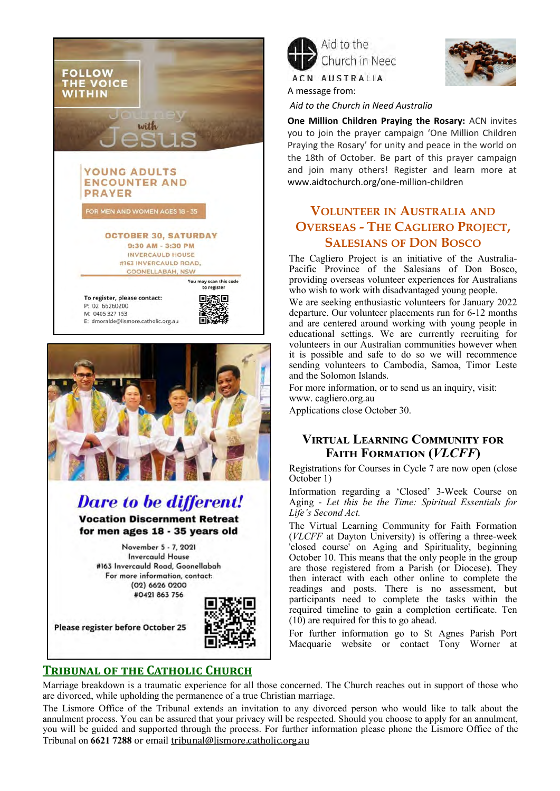



# **Dare to be different!**

**Vocation Discernment Retreat** for men ages 18 - 35 years old

> November 5 - 7, 2021 **Invercauld House** #163 Invercauld Road, Goonellabah For more information, contact: (02) 6626 0200 #0421 863 756

Please register before October 25



### **Tribunal of the Catholic Church**



A message from:



*Aid to the Church in Need Australia*

**One Million Children Praying the Rosary:** ACN invites you to join the prayer campaign 'One Million Children Praying the Rosary' for unity and peace in the world on the 18th of October. Be part of this prayer campaign and join many others! Register and learn more at [www.aidtochurch.org/one](http://www.aidtochurch.org/one-million-children)-million-children

# **VOLUNTEER IN AUSTRALIA AND OVERSEAS - THE CAGLIERO PROJECT, SALESIANS OF DON BOSCO**

The Cagliero Project is an initiative of the Australia-Pacific Province of the Salesians of Don Bosco, providing overseas volunteer experiences for Australians who wish to work with disadvantaged young people.

We are seeking enthusiastic volunteers for January 2022 departure. Our volunteer placements run for 6-12 months and are centered around working with young people in educational settings. We are currently recruiting for volunteers in our Australian communities however when it is possible and safe to do so we will recommence sending volunteers to Cambodia, Samoa, Timor Leste and the Solomon Islands.

For more information, or to send us an inquiry, visit: www. [cagliero.org.au](http://cagliero.org.au/) 

Applications close October 30.

#### **Virtual Learning Community for Faith Formation (***VLCFF***)**

Registrations for Courses in Cycle 7 are now open (close October 1)

Information regarding a 'Closed' 3-Week Course on Aging - *Let this be the Time: Spiritual Essentials for Life's Second Act.*

The Virtual Learning Community for Faith Formation (*VLCFF* at Dayton University) is offering a three-week 'closed course' on Aging and Spirituality, beginning October 10. This means that the only people in the group are those registered from a Parish (or Diocese). They then interact with each other online to complete the readings and posts. There is no assessment, but participants need to complete the tasks within the required timeline to gain a completion certificate. Ten (10) are required for this to go ahead.

For further information go to St Agnes Parish Port Macquarie website or contact Tony Worner at

Marriage breakdown is a traumatic experience for all those concerned. The Church reaches out in support of those who are divorced, while upholding the permanence of a true Christian marriage.

The Lismore Office of the Tribunal extends an invitation to any divorced person who would like to talk about the annulment process. You can be assured that your privacy will be respected. Should you choose to apply for an annulment, you will be guided and supported through the process. For further information please phone the Lismore Office of the Tribunal on **6621 7288** or email [tribunal@lismore.catholic.org.au](mailto:tribunal@lismore.catholic.org.au)